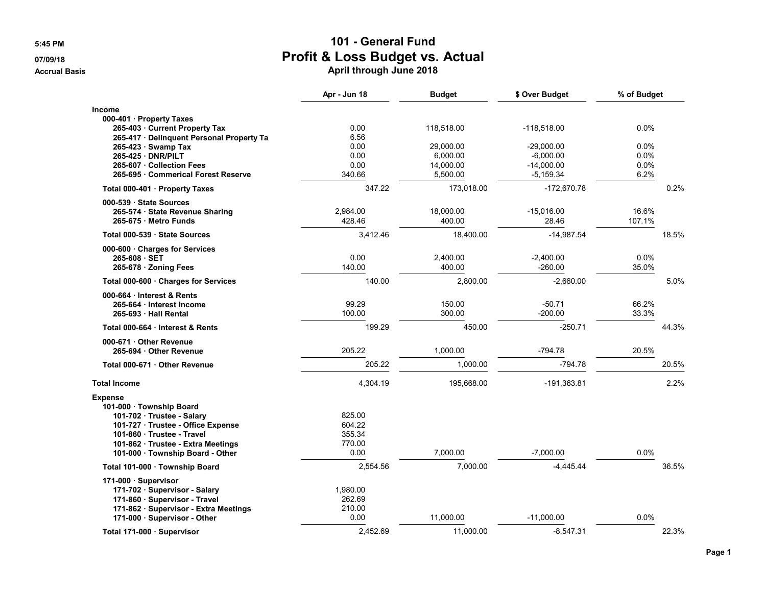|                                                        | Apr - Jun 18 | <b>Budget</b>         | \$ Over Budget              | % of Budget     |       |
|--------------------------------------------------------|--------------|-----------------------|-----------------------------|-----------------|-------|
| <b>Income</b>                                          |              |                       |                             |                 |       |
| 000-401 · Property Taxes                               |              |                       |                             |                 |       |
| 265-403 Current Property Tax                           | 0.00         | 118,518.00            | $-118,518.00$               | $0.0\%$         |       |
| 265-417 · Delinquent Personal Property Ta              | 6.56         |                       |                             |                 |       |
| 265-423 · Swamp Tax                                    | 0.00         | 29.000.00             | $-29.000.00$                | $0.0\%$         |       |
| 265-425 DNR/PILT<br>265-607 Collection Fees            | 0.00<br>0.00 | 6.000.00<br>14,000.00 | $-6.000.00$<br>$-14,000.00$ | $0.0\%$<br>0.0% |       |
| 265-695 Commerical Forest Reserve                      | 340.66       | 5,500.00              | $-5,159.34$                 | 6.2%            |       |
| Total 000-401 · Property Taxes                         | 347.22       | 173,018.00            | -172,670.78                 |                 | 0.2%  |
|                                                        |              |                       |                             |                 |       |
| 000-539 · State Sources                                | 2,984.00     | 18,000.00             | $-15,016.00$                | 16.6%           |       |
| 265-574 · State Revenue Sharing<br>265-675 Metro Funds | 428.46       | 400.00                | 28.46                       | 107.1%          |       |
|                                                        |              |                       |                             |                 |       |
| Total 000-539 · State Sources                          | 3,412.46     | 18,400.00             | $-14,987.54$                |                 | 18.5% |
| 000-600 Charges for Services                           |              |                       |                             |                 |       |
| 265-608 SET                                            | 0.00         | 2,400.00              | $-2,400.00$                 | 0.0%            |       |
| 265-678 · Zoning Fees                                  | 140.00       | 400.00                | $-260.00$                   | 35.0%           |       |
| Total 000-600 · Charges for Services                   | 140.00       | 2,800.00              | $-2,660.00$                 |                 | 5.0%  |
| 000-664 Interest & Rents                               |              |                       |                             |                 |       |
| 265-664 Interest Income                                | 99.29        | 150.00                | $-50.71$                    | 66.2%           |       |
| 265-693 Hall Rental                                    | 100.00       | 300.00                | $-200.00$                   | 33.3%           |       |
| Total 000-664 Interest & Rents                         | 199.29       | 450.00                | $-250.71$                   |                 | 44.3% |
| 000-671 · Other Revenue                                |              |                       |                             |                 |       |
| 265-694 Other Revenue                                  | 205.22       | 1.000.00              | $-794.78$                   | 20.5%           |       |
| Total 000-671 Other Revenue                            | 205.22       | 1,000.00              | $-794.78$                   |                 | 20.5% |
| <b>Total Income</b>                                    | 4,304.19     | 195,668.00            | $-191,363.81$               |                 | 2.2%  |
| <b>Expense</b>                                         |              |                       |                             |                 |       |
| 101-000 · Township Board                               |              |                       |                             |                 |       |
| 101-702 · Trustee - Salary                             | 825.00       |                       |                             |                 |       |
| 101-727 · Trustee - Office Expense                     | 604.22       |                       |                             |                 |       |
| 101-860 Trustee - Travel                               | 355.34       |                       |                             |                 |       |
| 101-862 · Trustee - Extra Meetings                     | 770.00       |                       |                             |                 |       |
| 101-000 · Township Board - Other                       | 0.00         | 7.000.00              | $-7,000.00$                 | 0.0%            |       |
| Total 101-000 · Township Board                         | 2,554.56     | 7,000.00              | $-4.445.44$                 |                 | 36.5% |
| 171-000 · Supervisor                                   |              |                       |                             |                 |       |
| 171-702 · Supervisor - Salary                          | 1.980.00     |                       |                             |                 |       |
| 171-860 · Supervisor - Travel                          | 262.69       |                       |                             |                 |       |
| 171-862 · Supervisor - Extra Meetings                  | 210.00       |                       |                             |                 |       |
| 171-000 · Supervisor - Other                           | 0.00         | 11,000.00             | $-11.000.00$                | 0.0%            |       |
| Total 171-000 · Supervisor                             | 2.452.69     | 11.000.00             | $-8.547.31$                 |                 | 22.3% |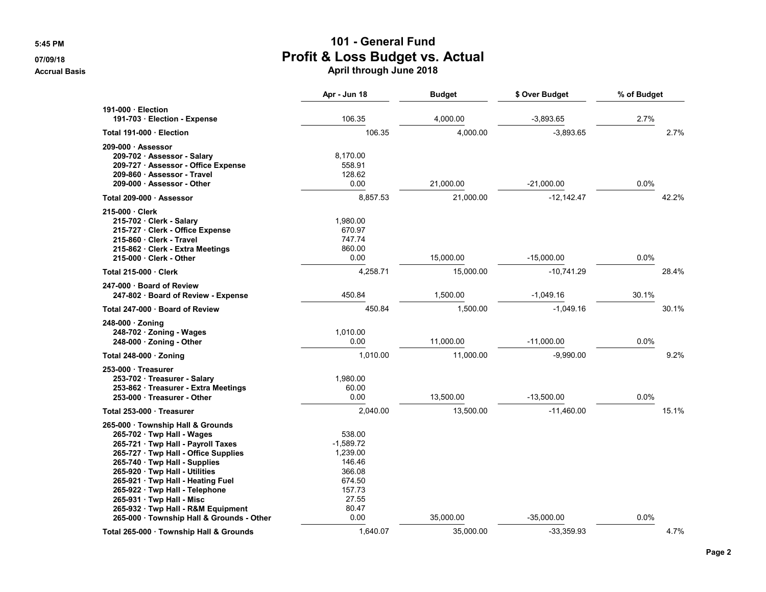|                                                                                                                                                                                                                                                                                                                                                                                                     | Apr - Jun 18                                                                                        | <b>Budget</b> | \$ Over Budget | % of Budget |       |
|-----------------------------------------------------------------------------------------------------------------------------------------------------------------------------------------------------------------------------------------------------------------------------------------------------------------------------------------------------------------------------------------------------|-----------------------------------------------------------------------------------------------------|---------------|----------------|-------------|-------|
| 191-000 · Election                                                                                                                                                                                                                                                                                                                                                                                  | 106.35                                                                                              | 4,000.00      | $-3,893.65$    | 2.7%        |       |
| 191-703 · Election - Expense                                                                                                                                                                                                                                                                                                                                                                        |                                                                                                     |               |                |             |       |
| Total 191-000 · Election                                                                                                                                                                                                                                                                                                                                                                            | 106.35                                                                                              | 4,000.00      | $-3,893.65$    |             | 2.7%  |
| 209-000 Assessor<br>209-702 · Assessor - Salary<br>209-727 · Assessor - Office Expense<br>209-860 Assessor - Travel<br>209-000 Assessor - Other                                                                                                                                                                                                                                                     | 8.170.00<br>558.91<br>128.62<br>0.00                                                                | 21,000.00     | $-21,000.00$   | 0.0%        |       |
| Total 209-000 · Assessor                                                                                                                                                                                                                                                                                                                                                                            | 8,857.53                                                                                            | 21,000.00     | $-12,142.47$   |             | 42.2% |
| 215-000 Clerk<br>215-702 Clerk - Salary<br>215-727 Clerk - Office Expense<br>215-860 Clerk - Travel<br>215-862 Clerk - Extra Meetings<br>215-000 · Clerk - Other                                                                                                                                                                                                                                    | 1,980.00<br>670.97<br>747.74<br>860.00<br>0.00                                                      | 15,000.00     | $-15,000.00$   | 0.0%        |       |
| <b>Total 215-000 · Clerk</b>                                                                                                                                                                                                                                                                                                                                                                        | 4,258.71                                                                                            | 15.000.00     | $-10,741.29$   |             | 28.4% |
| 247-000 Board of Review<br>247-802 Board of Review - Expense                                                                                                                                                                                                                                                                                                                                        | 450.84                                                                                              | 1.500.00      | $-1,049.16$    | 30.1%       |       |
| Total 247-000 · Board of Review                                                                                                                                                                                                                                                                                                                                                                     | 450.84                                                                                              | 1,500.00      | $-1,049.16$    |             | 30.1% |
| 248-000 · Zoning<br>248-702 · Zoning - Wages<br>248-000 · Zoning - Other                                                                                                                                                                                                                                                                                                                            | 1,010.00<br>0.00                                                                                    | 11,000.00     | $-11,000.00$   | 0.0%        |       |
| Total 248-000 $\cdot$ Zoning                                                                                                                                                                                                                                                                                                                                                                        | 1,010.00                                                                                            | 11,000.00     | $-9,990.00$    |             | 9.2%  |
| 253-000 Treasurer<br>253-702 Treasurer - Salary<br>253-862 · Treasurer - Extra Meetings<br>253-000 Treasurer - Other                                                                                                                                                                                                                                                                                | 1,980.00<br>60.00<br>0.00                                                                           | 13,500.00     | $-13,500.00$   | 0.0%        |       |
| Total 253-000 Treasurer                                                                                                                                                                                                                                                                                                                                                                             | 2,040.00                                                                                            | 13,500.00     | $-11,460.00$   |             | 15.1% |
| 265-000 · Township Hall & Grounds<br>265-702 · Twp Hall - Wages<br>265-721 · Twp Hall - Payroll Taxes<br>265-727 · Twp Hall - Office Supplies<br>265-740 · Twp Hall - Supplies<br>265-920 · Twp Hall - Utilities<br>265-921 · Twp Hall - Heating Fuel<br>265-922 Twp Hall - Telephone<br>265-931 · Twp Hall - Misc<br>265-932 Twp Hall - R&M Equipment<br>265-000 · Township Hall & Grounds - Other | 538.00<br>$-1.589.72$<br>1.239.00<br>146.46<br>366.08<br>674.50<br>157.73<br>27.55<br>80.47<br>0.00 | 35,000.00     | $-35,000.00$   | 0.0%        |       |
| Total 265-000 · Township Hall & Grounds                                                                                                                                                                                                                                                                                                                                                             | 1.640.07                                                                                            | 35,000.00     | $-33,359.93$   |             | 4.7%  |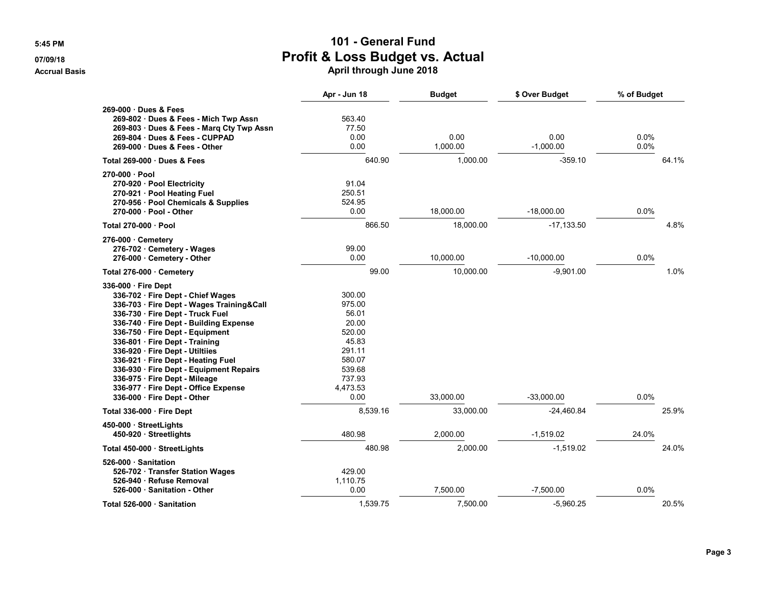|                                                                                                                                                                                                                                                                                                                                                                                                                                                                                      | Apr - Jun 18                                                                                                      | <b>Budget</b>    | \$ Over Budget      | % of Budget     |       |
|--------------------------------------------------------------------------------------------------------------------------------------------------------------------------------------------------------------------------------------------------------------------------------------------------------------------------------------------------------------------------------------------------------------------------------------------------------------------------------------|-------------------------------------------------------------------------------------------------------------------|------------------|---------------------|-----------------|-------|
| 269-000 Dues & Fees<br>269-802 Dues & Fees - Mich Twp Assn<br>269-803 Dues & Fees - Marg Cty Twp Assn<br>269-804 Dues & Fees - CUPPAD<br>269-000 Dues & Fees - Other                                                                                                                                                                                                                                                                                                                 | 563.40<br>77.50<br>0.00<br>0.00                                                                                   | 0.00<br>1.000.00 | 0.00<br>$-1,000.00$ | $0.0\%$<br>0.0% |       |
| Total 269-000 Dues & Fees                                                                                                                                                                                                                                                                                                                                                                                                                                                            | 640.90                                                                                                            | 1,000.00         | $-359.10$           |                 | 64.1% |
| 270-000 · Pool<br>270-920 · Pool Electricity<br>270-921 · Pool Heating Fuel<br>270-956 · Pool Chemicals & Supplies<br>270-000 · Pool - Other                                                                                                                                                                                                                                                                                                                                         | 91.04<br>250.51<br>524.95<br>0.00                                                                                 | 18,000.00        | $-18,000.00$        | $0.0\%$         |       |
| Total 270-000 · Pool                                                                                                                                                                                                                                                                                                                                                                                                                                                                 | 866.50                                                                                                            | 18,000.00        | $-17,133.50$        |                 | 4.8%  |
| $276-000$ Cemetery<br>276-702 · Cemetery - Wages<br>276-000 Cemetery - Other                                                                                                                                                                                                                                                                                                                                                                                                         | 99.00<br>0.00                                                                                                     | 10,000.00        | $-10,000.00$        | 0.0%            |       |
| Total 276-000 Cemetery                                                                                                                                                                                                                                                                                                                                                                                                                                                               | 99.00                                                                                                             | 10.000.00        | $-9,901.00$         |                 | 1.0%  |
| 336-000 · Fire Dept<br>336-702 · Fire Dept - Chief Wages<br>336-703 · Fire Dept - Wages Training&Call<br>336-730 · Fire Dept - Truck Fuel<br>336-740 · Fire Dept - Building Expense<br>336-750 · Fire Dept - Equipment<br>336-801 · Fire Dept - Training<br>336-920 · Fire Dept - Utiltiies<br>336-921 · Fire Dept - Heating Fuel<br>336-930 · Fire Dept - Equipment Repairs<br>336-975 · Fire Dept - Mileage<br>336-977 · Fire Dept - Office Expense<br>336-000 · Fire Dept - Other | 300.00<br>975.00<br>56.01<br>20.00<br>520.00<br>45.83<br>291.11<br>580.07<br>539.68<br>737.93<br>4,473.53<br>0.00 | 33.000.00        | $-33.000.00$        | 0.0%            |       |
| Total 336-000 · Fire Dept                                                                                                                                                                                                                                                                                                                                                                                                                                                            | 8,539.16                                                                                                          | 33,000.00        | $-24,460.84$        |                 | 25.9% |
| 450-000 StreetLights<br>450-920 Streetlights                                                                                                                                                                                                                                                                                                                                                                                                                                         | 480.98                                                                                                            | 2,000.00         | $-1,519.02$         | 24.0%           |       |
| Total 450-000 · StreetLights                                                                                                                                                                                                                                                                                                                                                                                                                                                         | 480.98                                                                                                            | 2,000.00         | $-1,519.02$         |                 | 24.0% |
| 526-000 Sanitation<br>526-702 · Transfer Station Wages<br>526-940 · Refuse Removal<br>526-000 Sanitation - Other                                                                                                                                                                                                                                                                                                                                                                     | 429.00<br>1,110.75<br>0.00                                                                                        | 7,500.00         | $-7,500.00$         | 0.0%            |       |
| Total 526-000 Sanitation                                                                                                                                                                                                                                                                                                                                                                                                                                                             | 1,539.75                                                                                                          | 7,500.00         | $-5,960.25$         |                 | 20.5% |